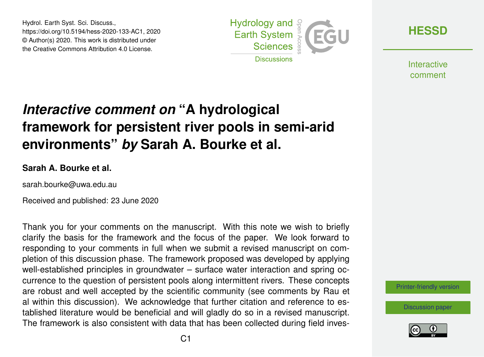Hydrol. Earth Syst. Sci. Discuss., https://doi.org/10.5194/hess-2020-133-AC1, 2020 © Author(s) 2020. This work is distributed under the Creative Commons Attribution 4.0 License.



**[HESSD](https://www.hydrol-earth-syst-sci-discuss.net/)**

**Interactive** comment

## *Interactive comment on* **"A hydrological framework for persistent river pools in semi-arid environments"** *by* **Sarah A. Bourke et al.**

## **Sarah A. Bourke et al.**

sarah.bourke@uwa.edu.au

Received and published: 23 June 2020

Thank you for your comments on the manuscript. With this note we wish to briefly clarify the basis for the framework and the focus of the paper. We look forward to responding to your comments in full when we submit a revised manuscript on completion of this discussion phase. The framework proposed was developed by applying well-established principles in groundwater – surface water interaction and spring occurrence to the question of persistent pools along intermittent rivers. These concepts are robust and well accepted by the scientific community (see comments by Rau et al within this discussion). We acknowledge that further citation and reference to established literature would be beneficial and will gladly do so in a revised manuscript. The framework is also consistent with data that has been collected during field inves-

[Printer-friendly version](https://www.hydrol-earth-syst-sci-discuss.net/hess-2020-133/hess-2020-133-AC1-print.pdf)

[Discussion paper](https://www.hydrol-earth-syst-sci-discuss.net/hess-2020-133)